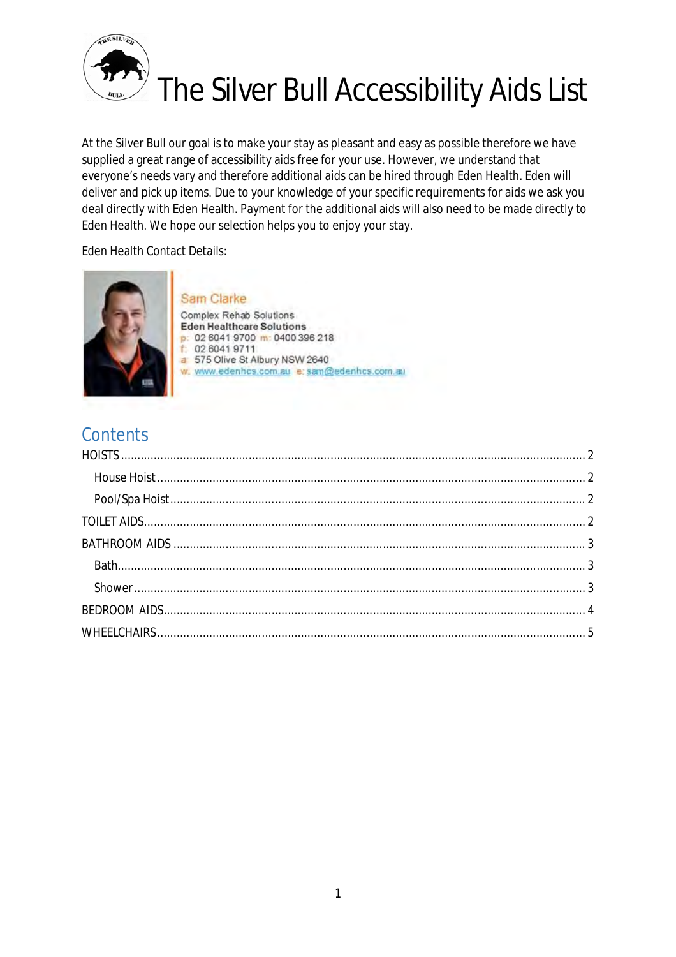

# The Silver Bull Accessibility Aids List

At the Silver Bull our goal is to make your stay as pleasant and easy as possible therefore we have supplied a great range of accessibility aids free for your use. However, we understand that everyone's needs vary and therefore additional aids can be hired through Eden Health. Eden will deliver and pick up items. Due to your knowledge of your specific requirements for aids we ask you deal directly with Eden Health. Payment for the additional aids will also need to be made directly to Eden Health. We hope our selection helps you to enjoy your stay.

Eden Health Contact Details:



# **Contents**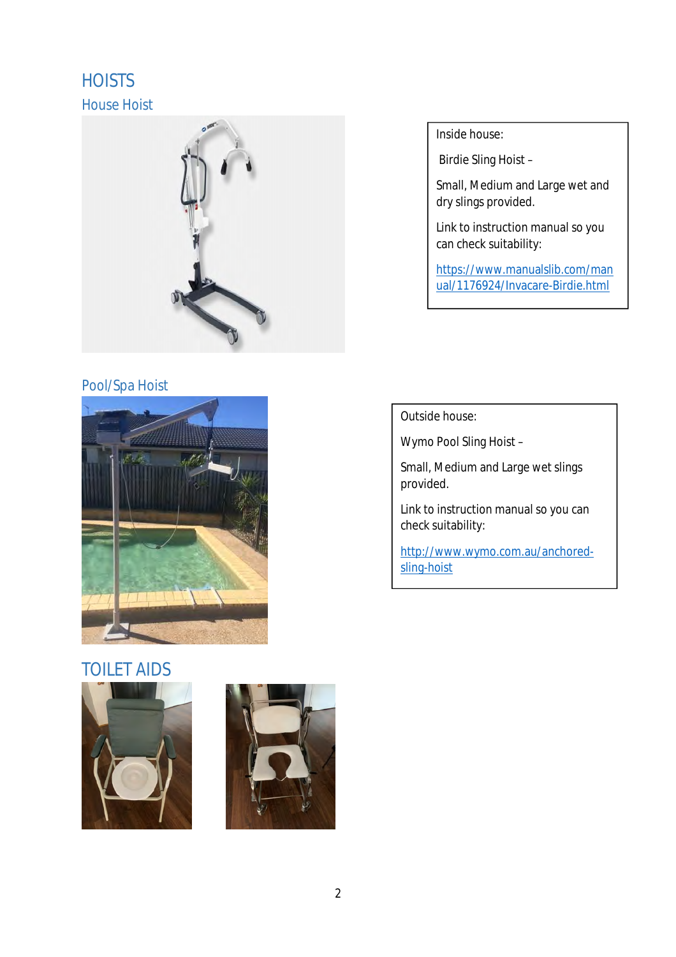# **HOISTS** House Hoist



### Pool/Spa Hoist



## TOILET AIDS





Inside house:

Birdie Sling Hoist –

Small, Medium and Large wet and dry slings provided.

Link to instruction manual so you can check suitability:

<https://www.manualslib.com/man> ual/1176924/Invacare-Birdie.html

Outside house:

Wymo Pool Sling Hoist –

Small, Medium and Large wet slings provided.

Link to instruction manual so you can check suitability:

[http://www.wymo.com.au/anchored](http://www.wymo.com.au/anchored-)sling-hoist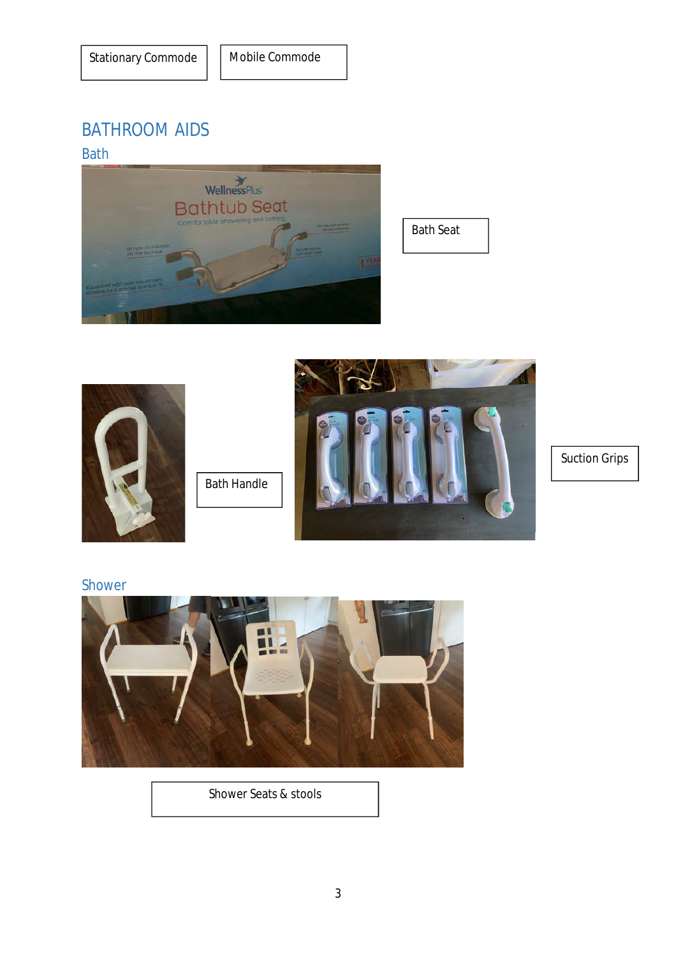# BATHROOM AIDS

#### Bath



Bath Seat



Suction Grips

#### Shower



Shower Seats & stools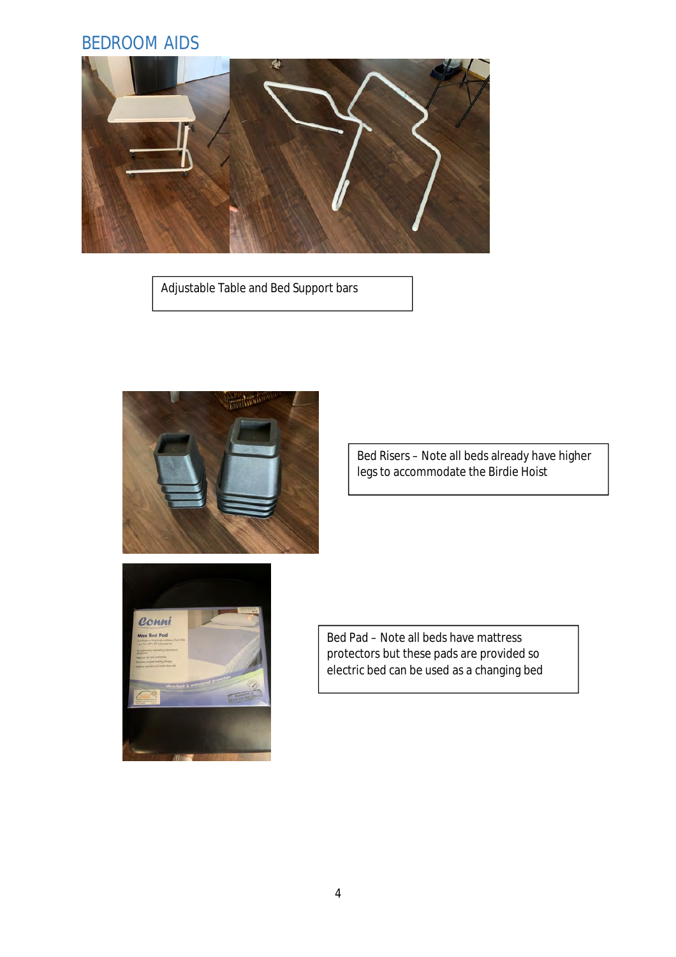## BEDROOM AIDS



Adjustable Table and Bed Support bars



Bed Risers – Note all beds already have higher legs to accommodate the Birdie Hoist



Bed Pad – Note all beds have mattress protectors but these pads are provided so electric bed can be used as a changing bed